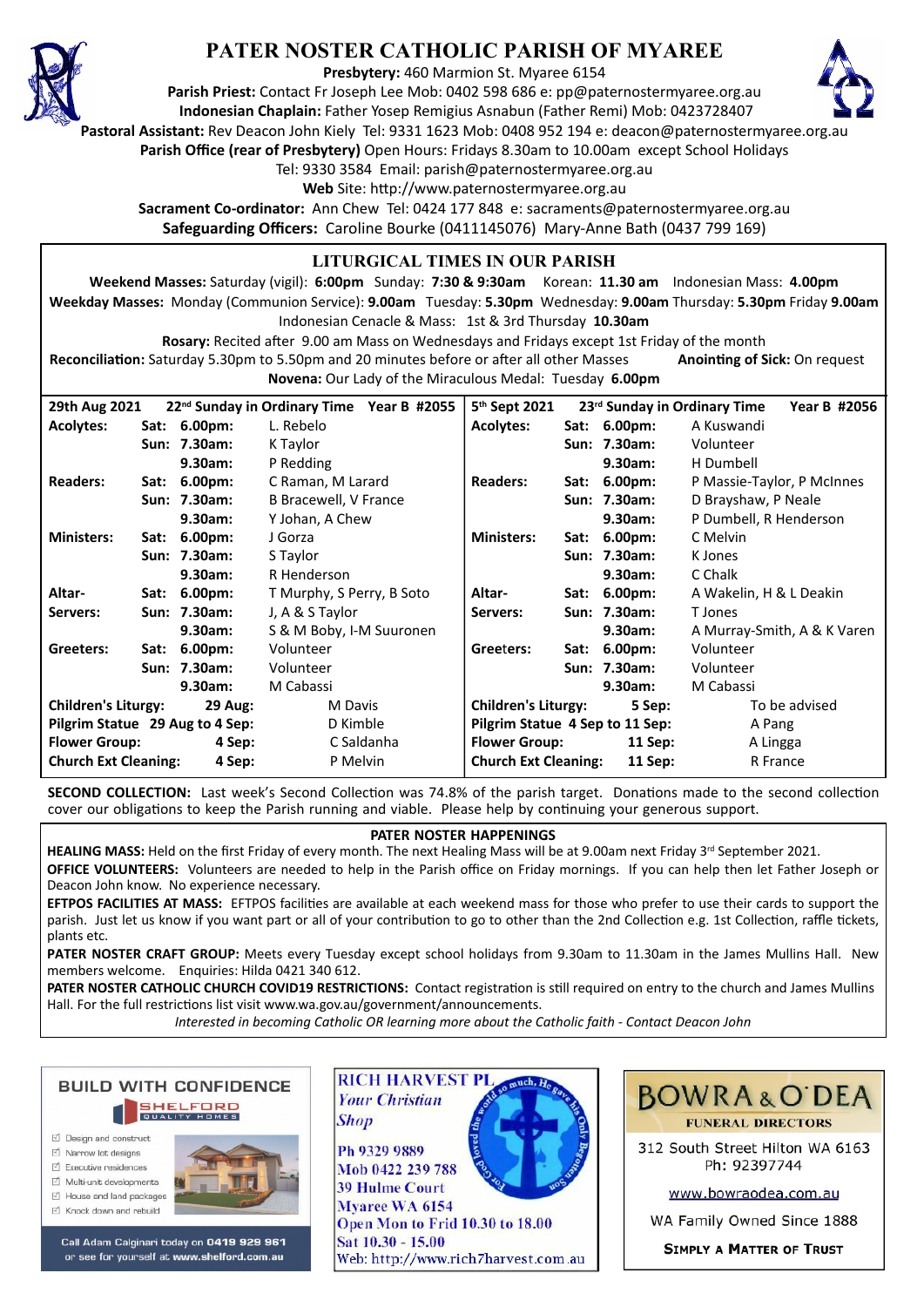

# **PATER NOSTER CATHOLIC PARISH OF MYAREE**

**Presbytery:** 460 Marmion St. Myaree 6154

**Parish Priest:** Contact Fr Joseph Lee Mob: 0402 598 686 e: pp@paternostermyaree.org.au **Indonesian Chaplain:** Father Yosep Remigius Asnabun (Father Remi) Mob: 0423728407



**Pastoral Assistant:** Rev Deacon John Kiely Tel: 9331 1623 Mob: 0408 952 194 e: deacon@paternostermyaree.org.au **Parish Office (rear of Presbytery)** Open Hours: Fridays 8.30am to 10.00am except School Holidays

Tel: 9330 3584 Email: parish@paternostermyaree.org.au

Web Site: http://www.paternostermyaree.org.au

**Sacrament Co-ordinator:** Ann Chew Tel: 0424 177 848 e: sacraments@paternostermyaree.org.au **Safeguarding Officers:** Caroline Bourke (0411145076) Mary-Anne Bath (0437 799 169)

#### **LITURGICAL TIMES IN OUR PARISH**

**Weekend Masses:** Saturday (vigil): **6:00pm** Sunday: **7:30 & 9:30am** Korean: **11.30 am** Indonesian Mass: **4.00pm Weekday Masses:** Monday (Communion Service): **9.00am** Tuesday: **5.30pm** Wednesday: **9.00am** Thursday: **5.30pm** Friday **9.00am** Indonesian Cenacle & Mass: 1st & 3rd Thursday **10.30am**

**Rosary:** Recited a�er 9.00 am Mass on Wednesdays and Fridays except 1st Friday of the month Reconciliation: Saturday 5.30pm to 5.50pm and 20 minutes before or after all other Masses **Anointing of Sick:** On request **Novena:** Our Lady of the Miraculous Medal: Tuesday **6.00pm**

| 29th Aug 2021                                |  |              | 22 <sup>nd</sup> Sunday in Ordinary Time Year B #2055 | 5 <sup>th</sup> Sept 2021            |  |              | 23 <sup>rd</sup> Sunday in Ordinary Time<br>Year B #2056 |
|----------------------------------------------|--|--------------|-------------------------------------------------------|--------------------------------------|--|--------------|----------------------------------------------------------|
| <b>Acolytes:</b>                             |  | Sat: 6.00pm: | L. Rebelo                                             | <b>Acolytes:</b>                     |  | Sat: 6.00pm: | A Kuswandi                                               |
|                                              |  | Sun: 7.30am: | K Taylor                                              |                                      |  | Sun: 7.30am: | Volunteer                                                |
|                                              |  | 9.30am:      | P Redding                                             |                                      |  | 9.30am:      | H Dumbell                                                |
| <b>Readers:</b>                              |  | Sat: 6.00pm: | C Raman, M Larard                                     | <b>Readers:</b>                      |  | Sat: 6.00pm: | P Massie-Taylor, P McInnes                               |
|                                              |  | Sun: 7.30am: | B Bracewell, V France                                 |                                      |  | Sun: 7.30am: | D Brayshaw, P Neale                                      |
|                                              |  | 9.30am:      | Y Johan, A Chew                                       |                                      |  | 9.30am:      | P Dumbell, R Henderson                                   |
| <b>Ministers:</b>                            |  | Sat: 6.00pm: | J Gorza                                               | <b>Ministers:</b>                    |  | Sat: 6.00pm: | C Melvin                                                 |
|                                              |  | Sun: 7.30am: | S Taylor                                              |                                      |  | Sun: 7.30am: | K Jones                                                  |
|                                              |  | 9.30am:      | R Henderson                                           |                                      |  | 9.30am:      | C Chalk                                                  |
| Altar-                                       |  | Sat: 6.00pm: | T Murphy, S Perry, B Soto                             | Altar-                               |  | Sat: 6.00pm: | A Wakelin, H & L Deakin                                  |
| Servers:                                     |  | Sun: 7.30am: | J, A & S Taylor                                       | Servers:                             |  | Sun: 7.30am: | T Jones                                                  |
|                                              |  | 9.30am:      | S & M Boby, I-M Suuronen                              |                                      |  | 9.30am:      | A Murray-Smith, A & K Varen                              |
| Greeters:                                    |  | Sat: 6.00pm: | Volunteer                                             | Greeters:                            |  | Sat: 6.00pm: | Volunteer                                                |
|                                              |  | Sun: 7.30am: | Volunteer                                             |                                      |  | Sun: 7.30am: | Volunteer                                                |
|                                              |  | 9.30am:      | M Cabassi                                             |                                      |  | 9.30am:      | M Cabassi                                                |
| <b>Children's Liturgy:</b><br><b>29 Aug:</b> |  |              | M Davis                                               | <b>Children's Liturgy:</b><br>5 Sep: |  |              | To be advised                                            |
| Pilgrim Statue 29 Aug to 4 Sep:              |  |              | D Kimble                                              | Pilgrim Statue 4 Sep to 11 Sep:      |  |              | A Pang                                                   |
| <b>Flower Group:</b><br>4 Sep:               |  |              | C Saldanha                                            | <b>Flower Group:</b><br>11 Sep:      |  |              | A Lingga                                                 |
| <b>Church Ext Cleaning:</b><br>4 Sep:        |  |              | P Melvin                                              | <b>Church Ext Cleaning:</b>          |  | 11 Sep:      | R France                                                 |

**SECOND COLLECTION:** Last week's Second Collection was 74.8% of the parish target. Donations made to the second collection cover our obligations to keep the Parish running and viable. Please help by continuing your generous support.

#### **PATER NOSTER HAPPENINGS**

HEALING MASS: Held on the first Friday of every month. The next Healing Mass will be at 9.00am next Friday 3<sup>rd</sup> September 2021. **OFFICE VOLUNTEERS:** Volunteers are needed to help in the Parish office on Friday mornings. If you can help then let Father Joseph or Deacon John know. No experience necessary.

**EFTPOS FACILITIES AT MASS:** EFTPOS facilities are available at each weekend mass for those who prefer to use their cards to support the parish. Just let us know if you want part or all of your contribution to go to other than the 2nd Collection e.g. 1st Collection, raffle tickets, plants etc.

**PATER NOSTER CRAFT GROUP:** Meets every Tuesday except school holidays from 9.30am to 11.30am in the James Mullins Hall. New members welcome. Enquiries: Hilda 0421 340 612.

PATER NOSTER CATHOLIC CHURCH COVID19 RESTRICTIONS: Contact registration is still required on entry to the church and James Mullins Hall. For the full restrictions list visit www.wa.gov.au/government/announcements.

*Interested in becoming Catholic OR learning more about the Catholic faith - Contact Deacon John*

**BUILD WITH CONFIDENCE SHELFORD** 

- ☑ Design and construct
- $\triangledown$  Narrow lot designs
- $\triangledown$  Executive residences
- $\overrightarrow{2}$  Multi-unit developments M House and land packages
- ☑ Knock down and rebuild



Call Adam Calginari today on 0419 929 961 or see for yourself at www.shelford.com.au



Ph 9329 9889 Mob 0422 239 788 **39 Hulme Court** Myaree WA 6154 Open Mon to Frid 10.30 to 18.00 Sat 10.30 - 15.00 Web: http://www.rich7harvest.com.au



312 South Street Hilton WA 6163 Ph: 92397744

www.bowraodea.com.au

WA Family Owned Since 1888

**SIMPLY A MATTER OF TRUST**